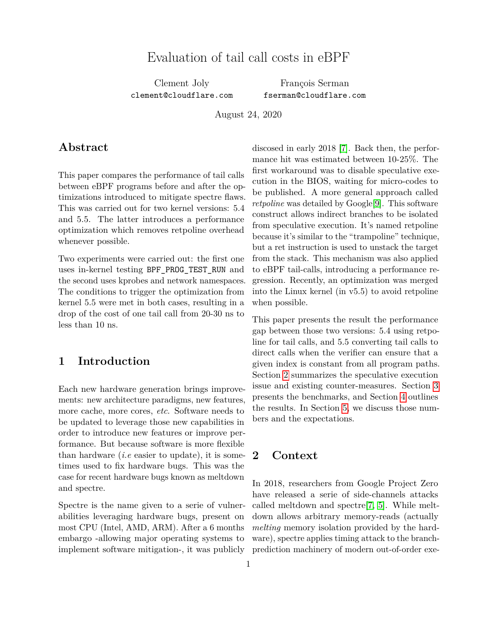# Evaluation of tail call costs in eBPF

Clement Joly clement@cloudflare.com

François Serman fserman@cloudflare.com

August 24, 2020

### **Abstract**

This paper compares the performance of tail calls between eBPF programs before and after the optimizations introduced to mitigate spectre flaws. This was carried out for two kernel versions: 5.4 and 5.5. The latter introduces a performance optimization which removes retpoline overhead whenever possible.

Two experiments were carried out: the first one uses in-kernel testing BPF\_PROG\_TEST\_RUN and the second uses kprobes and network namespaces. The conditions to trigger the optimization from kernel 5.5 were met in both cases, resulting in a drop of the cost of one tail call from 20-30 ns to less than 10 ns.

### **1 Introduction**

Each new hardware generation brings improvements: new architecture paradigms, new features, more cache, more cores, *etc*. Software needs to be updated to leverage those new capabilities in order to introduce new features or improve performance. But because software is more flexible than hardware (*i.e* easier to update), it is sometimes used to fix hardware bugs. This was the case for recent hardware bugs known as meltdown and spectre.

Spectre is the name given to a serie of vulnerabilities leveraging hardware bugs, present on most CPU (Intel, AMD, ARM). After a 6 months embargo -allowing major operating systems to implement software mitigation-, it was publicly discosed in early 2018 [\[7\]](#page-7-0). Back then, the performance hit was estimated between 10-25%. The first workaround was to disable speculative execution in the BIOS, waiting for micro-codes to be published. A more general approach called *retpoline* was detailed by Google<sup>[\[9\]](#page-7-1)</sup>. This software construct allows indirect branches to be isolated from speculative execution. It's named retpoline because it's similar to the "trampoline" technique, but a ret instruction is used to unstack the target from the stack. This mechanism was also applied to eBPF tail-calls, introducing a performance regression. Recently, an optimization was merged into the Linux kernel (in v5.5) to avoid retpoline when possible.

This paper presents the result the performance gap between those two versions: 5.4 using retpoline for tail calls, and 5.5 converting tail calls to direct calls when the verifier can ensure that a given index is constant from all program paths. Section [2](#page-0-0) summarizes the speculative execution issue and existing counter-measures. Section [3](#page-1-0) presents the benchmarks, and Section [4](#page-3-0) outlines the results. In Section [5,](#page-6-0) we discuss those numbers and the expectations.

### <span id="page-0-0"></span>**2 Context**

In 2018, researchers from Google Project Zero have released a serie of side-channels attacks called meltdown and spectre[\[7,](#page-7-0) [5\]](#page-6-1). While meltdown allows arbitrary memory-reads (actually *melting* memory isolation provided by the hardware), spectre applies timing attack to the branchprediction machinery of modern out-of-order exe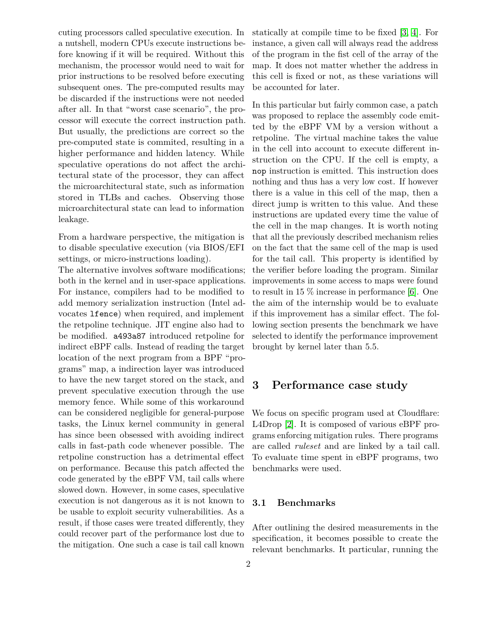cuting processors called speculative execution. In a nutshell, modern CPUs execute instructions before knowing if it will be required. Without this mechanism, the processor would need to wait for prior instructions to be resolved before executing subsequent ones. The pre-computed results may be discarded if the instructions were not needed after all. In that "worst case scenario", the processor will execute the correct instruction path. But usually, the predictions are correct so the pre-computed state is commited, resulting in a higher performance and hidden latency. While speculative operations do not affect the architectural state of the processor, they can affect the microarchitectural state, such as information stored in TLBs and caches. Observing those microarchitectural state can lead to information leakage.

From a hardware perspective, the mitigation is to disable speculative execution (via BIOS/EFI settings, or micro-instructions loading).

The alternative involves software modifications; both in the kernel and in user-space applications. For instance, compilers had to be modified to add memory serialization instruction (Intel advocates lfence) when required, and implement the retpoline technique. JIT engine also had to be modified. a493a87 introduced retpoline for indirect eBPF calls. Instead of reading the target location of the next program from a BPF "programs" map, a indirection layer was introduced to have the new target stored on the stack, and prevent speculative execution through the use memory fence. While some of this workaround can be considered negligible for general-purpose tasks, the Linux kernel community in general has since been obsessed with avoiding indirect calls in fast-path code whenever possible. The retpoline construction has a detrimental effect on performance. Because this patch affected the code generated by the eBPF VM, tail calls where slowed down. However, in some cases, speculative execution is not dangerous as it is not known to be usable to exploit security vulnerabilities. As a result, if those cases were treated differently, they could recover part of the performance lost due to the mitigation. One such a case is tail call known

statically at compile time to be fixed [\[3,](#page-6-2) [4\]](#page-6-3). For instance, a given call will always read the address of the program in the fist cell of the array of the map. It does not matter whether the address in this cell is fixed or not, as these variations will be accounted for later.

In this particular but fairly common case, a patch was proposed to replace the assembly code emitted by the eBPF VM by a version without a retpoline. The virtual machine takes the value in the cell into account to execute different instruction on the CPU. If the cell is empty, a nop instruction is emitted. This instruction does nothing and thus has a very low cost. If however there is a value in this cell of the map, then a direct jump is written to this value. And these instructions are updated every time the value of the cell in the map changes. It is worth noting that all the previously described mechanism relies on the fact that the same cell of the map is used for the tail call. This property is identified by the verifier before loading the program. Similar improvements in some access to maps were found to result in 15 % increase in performance [\[6\]](#page-7-2). One the aim of the internship would be to evaluate if this improvement has a similar effect. The following section presents the benchmark we have selected to identify the performance improvement brought by kernel later than 5.5.

## <span id="page-1-0"></span>**3 Performance case study**

We focus on specific program used at Cloudflare: L4Drop [\[2\]](#page-6-4). It is composed of various eBPF programs enforcing mitigation rules. There programs are called *ruleset* and are linked by a tail call. To evaluate time spent in eBPF programs, two benchmarks were used.

#### **3.1 Benchmarks**

After outlining the desired measurements in the specification, it becomes possible to create the relevant benchmarks. It particular, running the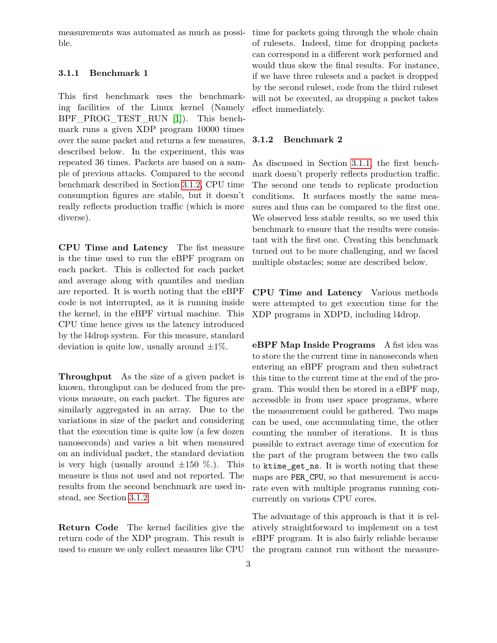ble.

#### <span id="page-2-1"></span>**3.1.1 Benchmark 1**

This first benchmark uses the benchmarking facilities of the Linux kernel (Namely BPF\_PROG\_TEST\_RUN [\[1\]](#page-6-5)). This benchmark runs a given XDP program 10000 times over the same packet and returns a few measures, described below. In the experiment, this was repeated 36 times. Packets are based on a sample of previous attacks. Compared to the second benchmark described in Section [3.1.2,](#page-2-0) CPU time consumption figures are stable, but it doesn't really reflects production traffic (which is more diverse).

**CPU Time and Latency** The fist measure is the time used to run the eBPF program on each packet. This is collected for each packet and average along with quantiles and median are reported. It is worth noting that the eBPF code is not interrupted, as it is running inside the kernel, in the eBPF virtual machine. This CPU time hence gives us the latency introduced by the l4drop system. For this measure, standard deviation is quite low, usually around  $\pm 1\%$ .

**Throughput** As the size of a given packet is known, throughput can be deduced from the previous measure, on each packet. The figures are similarly aggregated in an array. Due to the variations in size of the packet and considering that the execution time is quite low (a few dozen nanoseconds) and varies a bit when measured on an individual packet, the standard deviation is very high (usually around  $\pm 150$  %.). This measure is thus not used and not reported. The results from the second benchmark are used instead, see Section [3.1.2](#page-2-0)

**Return Code** The kernel facilities give the return code of the XDP program. This result is

measurements was automated as much as possi-time for packets going through the whole chain of rulesets. Indeed, time for dropping packets can correspond in a different work performed and would thus skew the final results. For instance, if we have three rulesets and a packet is dropped by the second ruleset, code from the third ruleset will not be executed, as dropping a packet takes effect immediately.

#### <span id="page-2-0"></span>**3.1.2 Benchmark 2**

As discussed in Section [3.1.1,](#page-2-1) the first benchmark doesn't properly reflects production traffic. The second one tends to replicate production conditions. It surfaces mostly the same measures and thus can be compared to the first one. We observed less stable results, so we used this benchmark to ensure that the results were consistant with the first one. Creating this benchmark turned out to be more challenging, and we faced multiple obstacles; some are described below.

**CPU Time and Latency** Various methods were attempted to get execution time for the XDP programs in XDPD, including l4drop.

<span id="page-2-2"></span>**eBPF Map Inside Programs** A fist idea was to store the the current time in nanoseconds when entering an eBPF program and then substract this time to the current time at the end of the program. This would then be stored in a eBPF map, accessible in from user space programs, where the measurement could be gathered. Two maps can be used, one accumulating time, the other counting the number of iterations. It is thus possible to extract average time of execution for the part of the program between the two calls to ktime get ns. It is worth noting that these maps are PER\_CPU, so that mesurement is accurate even with multiple programs running concurrently on various CPU cores.

used to ensure we only collect measures like CPU the program cannot run without the measure-The advantage of this approach is that it is relatively straightforward to implement on a test eBPF program. It is also fairly reliable because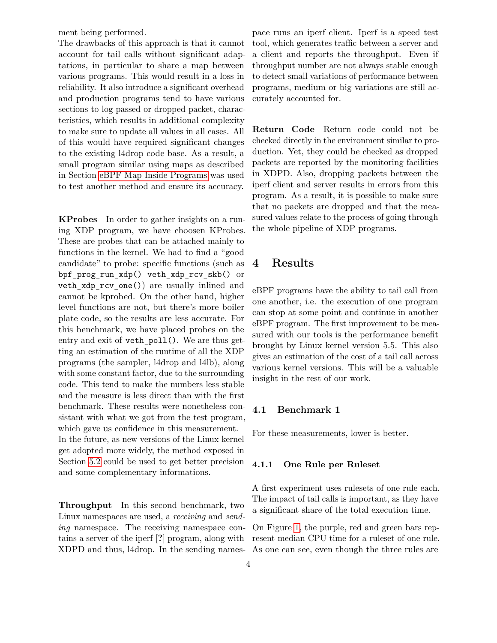ment being performed.

The drawbacks of this approach is that it cannot account for tail calls without significant adaptations, in particular to share a map between various programs. This would result in a loss in reliability. It also introduce a significant overhead and production programs tend to have various sections to log passed or dropped packet, characteristics, which results in additional complexity to make sure to update all values in all cases. All of this would have required significant changes to the existing l4drop code base. As a result, a small program similar using maps as described in Section [eBPF Map Inside Programs](#page-2-2) was used to test another method and ensure its accuracy.

**KProbes** In order to gather insights on a runing XDP program, we have choosen KProbes. These are probes that can be attached mainly to functions in the kernel. We had to find a "good candidate" to probe: specific functions (such as bpf\_prog\_run\_xdp() veth\_xdp\_rcv\_skb() or veth\_xdp\_rcv\_one()) are usually inlined and cannot be kprobed. On the other hand, higher level functions are not, but there's more boiler plate code, so the results are less accurate. For this benchmark, we have placed probes on the entry and exit of **veth** poll(). We are thus getting an estimation of the runtime of all the XDP programs (the sampler, l4drop and l4lb), along with some constant factor, due to the surrounding code. This tend to make the numbers less stable and the measure is less direct than with the first benchmark. These results were nonetheless consistant with what we got from the test program, which gave us confidence in this measurement. In the future, as new versions of the Linux kernel

get adopted more widely, the method exposed in Section [5.2](#page-6-6) could be used to get better precision and some complementary informations.

**Throughput** In this second benchmark, two Linux namespaces are used, a *receiving* and *sending* namespace. The receiving namespace contains a server of the iperf [**?**] program, along with XDPD and thus, l4drop. In the sending namespace runs an iperf client. Iperf is a speed test tool, which generates traffic between a server and a client and reports the throughput. Even if throughput number are not always stable enough to detect small variations of performance between programs, medium or big variations are still accurately accounted for.

**Return Code** Return code could not be checked directly in the environment similar to production. Yet, they could be checked as dropped packets are reported by the monitoring facilities in XDPD. Also, dropping packets between the iperf client and server results in errors from this program. As a result, it is possible to make sure that no packets are dropped and that the measured values relate to the process of going through the whole pipeline of XDP programs.

### <span id="page-3-0"></span>**4 Results**

eBPF programs have the ability to tail call from one another, i.e. the execution of one program can stop at some point and continue in another eBPF program. The first improvement to be measured with our tools is the performance benefit brought by Linux kernel version 5.5. This also gives an estimation of the cost of a tail call across various kernel versions. This will be a valuable insight in the rest of our work.

#### **4.1 Benchmark 1**

For these measurements, lower is better.

#### **4.1.1 One Rule per Ruleset**

A first experiment uses rulesets of one rule each. The impact of tail calls is important, as they have a significant share of the total execution time.

On Figure [1,](#page-8-0) the purple, red and green bars represent median CPU time for a ruleset of one rule. As one can see, even though the three rules are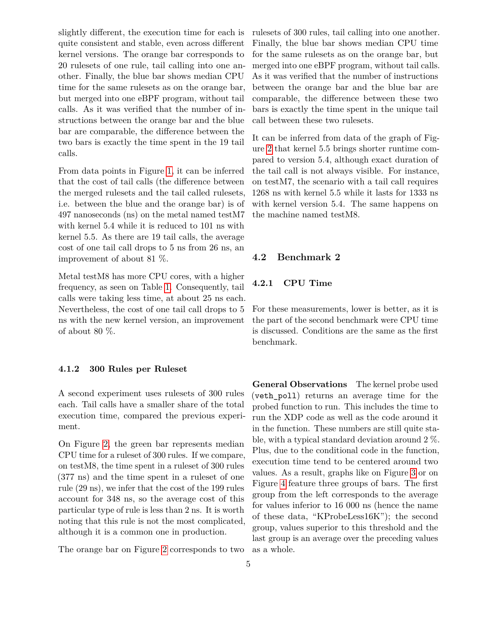slightly different, the execution time for each is quite consistent and stable, even across different kernel versions. The orange bar corresponds to 20 rulesets of one rule, tail calling into one another. Finally, the blue bar shows median CPU time for the same rulesets as on the orange bar, but merged into one eBPF program, without tail calls. As it was verified that the number of instructions between the orange bar and the blue bar are comparable, the difference between the two bars is exactly the time spent in the 19 tail calls.

From data points in Figure [1,](#page-8-0) it can be inferred that the cost of tail calls (the difference between the merged rulesets and the tail called rulesets, i.e. between the blue and the orange bar) is of 497 nanoseconds (ns) on the metal named testM7 with kernel 5.4 while it is reduced to 101 ns with kernel 5.5. As there are 19 tail calls, the average cost of one tail call drops to 5 ns from 26 ns, an improvement of about 81 %.

Metal testM8 has more CPU cores, with a higher frequency, as seen on Table [1.](#page-5-0) Consequently, tail calls were taking less time, at about 25 ns each. Nevertheless, the cost of one tail call drops to 5 ns with the new kernel version, an improvement of about 80 %.

#### **4.1.2 300 Rules per Ruleset**

A second experiment uses rulesets of 300 rules each. Tail calls have a smaller share of the total execution time, compared the previous experiment.

On Figure [2,](#page-9-0) the green bar represents median CPU time for a ruleset of 300 rules. If we compare, on testM8, the time spent in a ruleset of 300 rules (377 ns) and the time spent in a ruleset of one rule (29 ns), we infer that the cost of the 199 rules account for 348 ns, so the average cost of this particular type of rule is less than 2 ns. It is worth noting that this rule is not the most complicated, although it is a common one in production.

The orange bar on Figure [2](#page-9-0) corresponds to two

rulesets of 300 rules, tail calling into one another. Finally, the blue bar shows median CPU time for the same rulesets as on the orange bar, but merged into one eBPF program, without tail calls. As it was verified that the number of instructions between the orange bar and the blue bar are comparable, the difference between these two bars is exactly the time spent in the unique tail call between these two rulesets.

It can be inferred from data of the graph of Figure [2](#page-9-0) that kernel 5.5 brings shorter runtime compared to version 5.4, although exact duration of the tail call is not always visible. For instance, on testM7, the scenario with a tail call requires 1268 ns with kernel 5.5 while it lasts for 1333 ns with kernel version 5.4. The same happens on the machine named testM8.

#### **4.2 Benchmark 2**

#### **4.2.1 CPU Time**

For these measurements, lower is better, as it is the part of the second benchmark were CPU time is discussed. Conditions are the same as the first benchmark.

**General Observations** The kernel probe used (veth\_poll) returns an average time for the probed function to run. This includes the time to run the XDP code as well as the code around it in the function. These numbers are still quite stable, with a typical standard deviation around 2 %. Plus, due to the conditional code in the function, execution time tend to be centered around two values. As a result, graphs like on Figure [3](#page-10-0) or on Figure [4](#page-11-0) feature three groups of bars. The first group from the left corresponds to the average for values inferior to 16 000 ns (hence the name of these data, "KProbeLess16K"); the second group, values superior to this threshold and the last group is an average over the preceding values as a whole.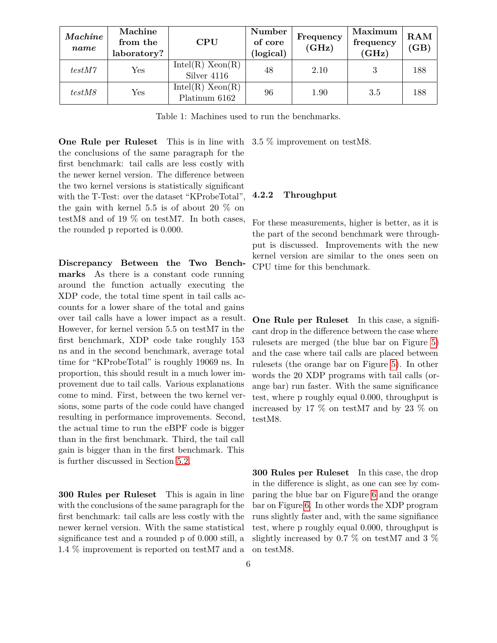| Machine<br>name | Machine<br>from the<br>laboratory? | $\rm CPU$                             | Number<br>of core<br>(logical) | Frequency<br>(GHz) | Maximum<br>frequency<br>(GHz) | $\bf{RAM}$<br>(GB) |
|-----------------|------------------------------------|---------------------------------------|--------------------------------|--------------------|-------------------------------|--------------------|
| testM7          | Yes                                | $Intel(R)$ $Xeon(R)$<br>Silver 4116   | 48                             | 2.10               |                               | 188                |
| testM8          | Yes                                | $Intel(R)$ $Xeon(R)$<br>Platinum 6162 | 96                             | 1.90               | 3.5                           | 188                |

<span id="page-5-0"></span>Table 1: Machines used to run the benchmarks.

**One Rule per Ruleset** This is in line with the conclusions of the same paragraph for the first benchmark: tail calls are less costly with the newer kernel version. The difference between the two kernel versions is statistically significant with the T-Test: over the dataset "KProbeTotal", the gain with kernel 5.5 is of about 20 % on testM8 and of 19 % on testM7. In both cases, the rounded p reported is 0.000.

<span id="page-5-1"></span>**Discrepancy Between the Two Benchmarks** As there is a constant code running around the function actually executing the XDP code, the total time spent in tail calls accounts for a lower share of the total and gains over tail calls have a lower impact as a result. However, for kernel version 5.5 on testM7 in the first benchmark, XDP code take roughly 153 ns and in the second benchmark, average total time for "KProbeTotal" is roughly 19069 ns. In proportion, this should result in a much lower improvement due to tail calls. Various explanations come to mind. First, between the two kernel versions, some parts of the code could have changed resulting in performance improvements. Second, the actual time to run the eBPF code is bigger than in the first benchmark. Third, the tail call gain is bigger than in the first benchmark. This is further discussed in Section [5.2.](#page-6-6)

**300 Rules per Ruleset** This is again in line with the conclusions of the same paragraph for the first benchmark: tail calls are less costly with the newer kernel version. With the same statistical significance test and a rounded p of 0.000 still, a 1.4 % improvement is reported on testM7 and a

3.5 % improvement on testM8.

#### **4.2.2 Throughput**

For these measurements, higher is better, as it is the part of the second benchmark were throughput is discussed. Improvements with the new kernel version are similar to the ones seen on CPU time for this benchmark.

**One Rule per Ruleset** In this case, a significant drop in the difference between the case where rulesets are merged (the blue bar on Figure [5\)](#page-12-0) and the case where tail calls are placed between rulesets (the orange bar on Figure [5\)](#page-12-0). In other words the 20 XDP programs with tail calls (orange bar) run faster. With the same significance test, where p roughly equal 0.000, throughput is increased by 17 % on testM7 and by 23 % on testM8.

**300 Rules per Ruleset** In this case, the drop in the difference is slight, as one can see by comparing the blue bar on Figure [6](#page-13-0) and the orange bar on Figure [6.](#page-13-0) In other words the XDP program runs slightly faster and, with the same signifiance test, where p roughly equal 0.000, throughput is slightly increased by 0.7 % on testM7 and 3 % on testM8.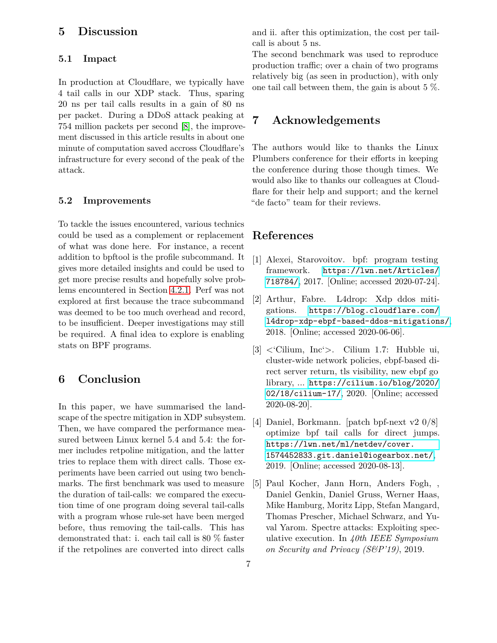### <span id="page-6-0"></span>**5 Discussion**

#### **5.1 Impact**

In production at Cloudflare, we typically have 4 tail calls in our XDP stack. Thus, sparing 20 ns per tail calls results in a gain of 80 ns per packet. During a DDoS attack peaking at 754 million packets per second [\[8\]](#page-7-3), the improvement discussed in this article results in about one minute of computation saved accross Cloudflare's infrastructure for every second of the peak of the attack.

#### <span id="page-6-6"></span>**5.2 Improvements**

To tackle the issues encountered, various technics could be used as a complement or replacement of what was done here. For instance, a recent addition to bpftool is the profile subcommand. It gives more detailed insights and could be used to get more precise results and hopefully solve problems encountered in Section [4.2.1.](#page-5-1) Perf was not explored at first because the trace subcommand was deemed to be too much overhead and record, to be insufficient. Deeper investigations may still be required. A final idea to explore is enabling stats on BPF programs.

### **6 Conclusion**

In this paper, we have summarised the landscape of the spectre mitigation in XDP subsystem. Then, we have compared the performance measured between Linux kernel 5.4 and 5.4: the former includes retpoline mitigation, and the latter tries to replace them with direct calls. Those experiments have been carried out using two benchmarks. The first benchmark was used to measure the duration of tail-calls: we compared the execution time of one program doing several tail-calls with a program whose rule-set have been merged before, thus removing the tail-calls. This has demonstrated that: i. each tail call is 80 % faster if the retpolines are converted into direct calls

and ii. after this optimization, the cost per tailcall is about 5 ns.

The second benchmark was used to reproduce production traffic; over a chain of two programs relatively big (as seen in production), with only one tail call between them, the gain is about 5 %.

# **7 Acknowledgements**

The authors would like to thanks the Linux Plumbers conference for their efforts in keeping the conference during those though times. We would also like to thanks our colleagues at Cloudflare for their help and support; and the kernel "de facto" team for their reviews.

### **References**

- <span id="page-6-5"></span>[1] Alexei, Starovoitov. bpf: program testing framework. [https://lwn.net/Articles/](https://lwn.net/Articles/718784/) [718784/](https://lwn.net/Articles/718784/), 2017. [Online; accessed 2020-07-24].
- <span id="page-6-4"></span>[2] Arthur, Fabre. L4drop: Xdp ddos mitigations. [https://blog.cloudflare.com/](https://blog.cloudflare.com/l4drop-xdp-ebpf-based-ddos-mitigations/) [l4drop-xdp-ebpf-based-ddos-mitigations/](https://blog.cloudflare.com/l4drop-xdp-ebpf-based-ddos-mitigations/), 2018. [Online; accessed 2020-06-06].
- <span id="page-6-2"></span>[3] <'Cilium, Inc'>. Cilium 1.7: Hubble ui, cluster-wide network policies, ebpf-based direct server return, tls visibility, new ebpf go library, ... [https://cilium.io/blog/2020/](https://cilium.io/blog/2020/02/18/cilium-17/) [02/18/cilium-17/](https://cilium.io/blog/2020/02/18/cilium-17/), 2020. [Online; accessed 2020-08-20].
- <span id="page-6-3"></span>[4] Daniel, Borkmann. [patch bpf-next v2 0/8] optimize bpf tail calls for direct jumps. [https://lwn.net/ml/netdev/cover.](https://lwn.net/ml/netdev/cover.1574452833.git.daniel@iogearbox.net/) [1574452833.git.daniel@iogearbox.net/](https://lwn.net/ml/netdev/cover.1574452833.git.daniel@iogearbox.net/), 2019. [Online; accessed 2020-08-13].
- <span id="page-6-1"></span>[5] Paul Kocher, Jann Horn, Anders Fogh, , Daniel Genkin, Daniel Gruss, Werner Haas, Mike Hamburg, Moritz Lipp, Stefan Mangard, Thomas Prescher, Michael Schwarz, and Yuval Yarom. Spectre attacks: Exploiting speculative execution. In *40th IEEE Symposium on Security and Privacy (S&P'19)*, 2019.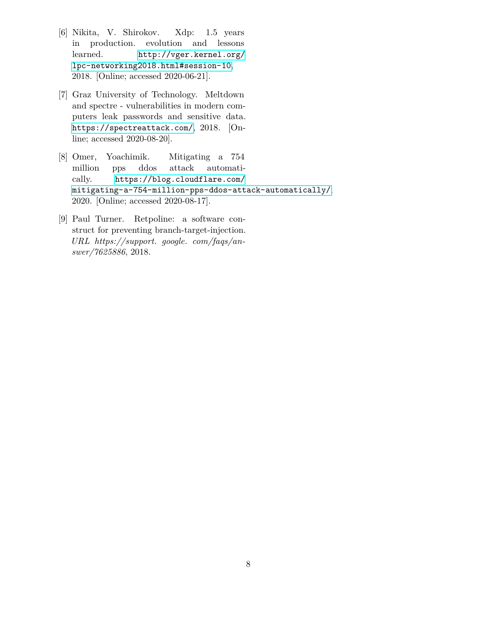- <span id="page-7-2"></span>[6] Nikita, V. Shirokov. Xdp: 1.5 years in production. evolution and lessons learned. [http://vger.kernel.org/](http://vger.kernel.org/lpc-networking2018.html#session-10) [lpc-networking2018.html#session-10](http://vger.kernel.org/lpc-networking2018.html#session-10), 2018. [Online; accessed 2020-06-21].
- <span id="page-7-0"></span>[7] Graz University of Technology. Meltdown and spectre - vulnerabilities in modern computers leak passwords and sensitive data. <https://spectreattack.com/>, 2018. [Online; accessed 2020-08-20].
- <span id="page-7-3"></span>[8] Omer, Yoachimik. Mitigating a 754 million pps ddos attack automatically. [https://blog.cloudflare.com/](https://blog.cloudflare.com/mitigating-a-754-million-pps-ddos-attack-automatically/) [mitigating-a-754-million-pps-ddos-attack-automatically/](https://blog.cloudflare.com/mitigating-a-754-million-pps-ddos-attack-automatically/), 2020. [Online; accessed 2020-08-17].
- <span id="page-7-1"></span>[9] Paul Turner. Retpoline: a software construct for preventing branch-target-injection. *URL https://support. google. com/faqs/answer/7625886*, 2018.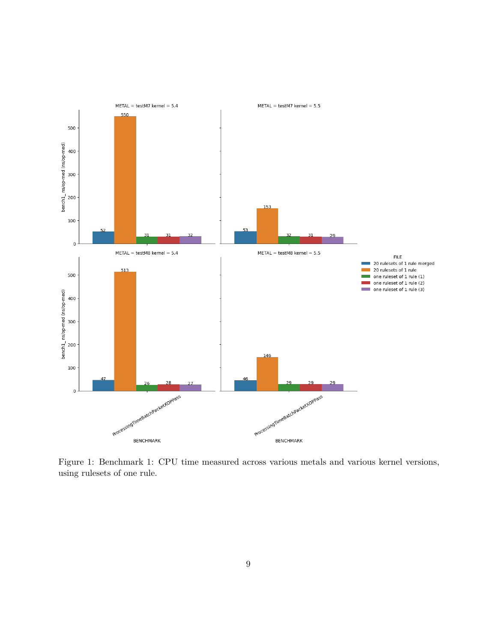

<span id="page-8-0"></span>Figure 1: Benchmark 1: CPU time measured across various metals and various kernel versions, using rulesets of one rule.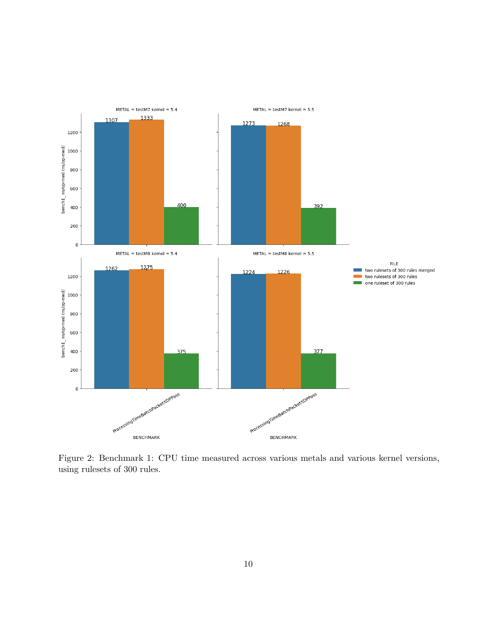

<span id="page-9-0"></span>Figure 2: Benchmark 1: CPU time measured across various metals and various kernel versions, using rulesets of 300 rules.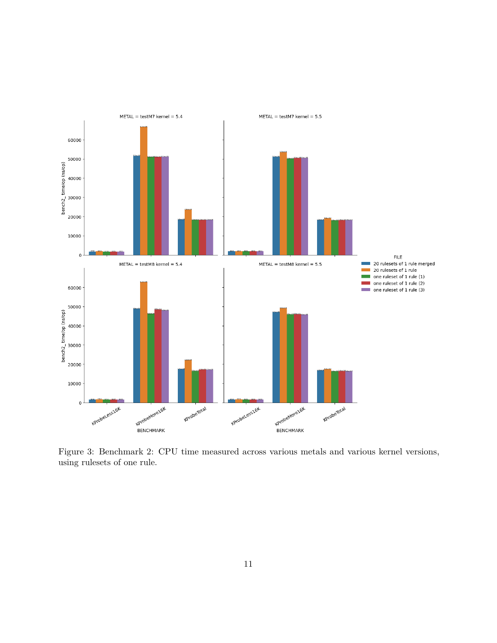

<span id="page-10-0"></span>Figure 3: Benchmark 2: CPU time measured across various metals and various kernel versions, using rulesets of one rule.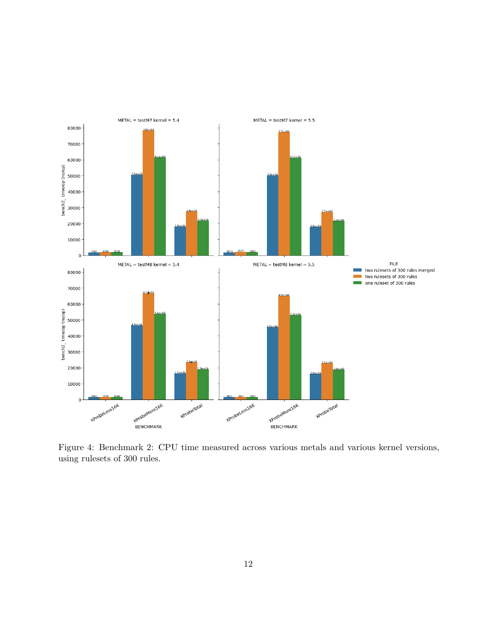

<span id="page-11-0"></span>Figure 4: Benchmark 2: CPU time measured across various metals and various kernel versions, using rulesets of 300 rules.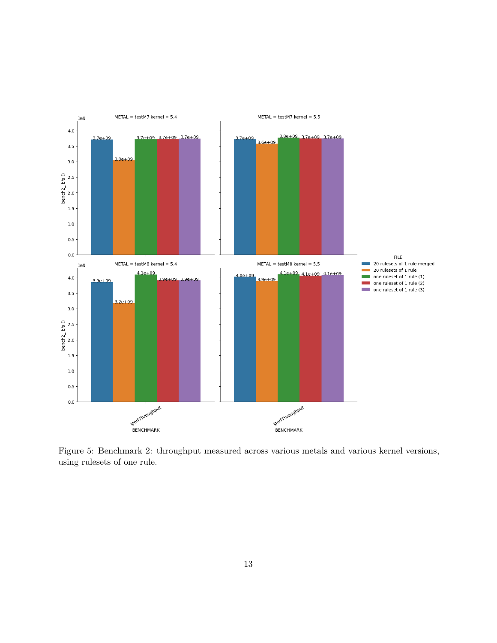

<span id="page-12-0"></span>Figure 5: Benchmark 2: throughput measured across various metals and various kernel versions, using rulesets of one rule.